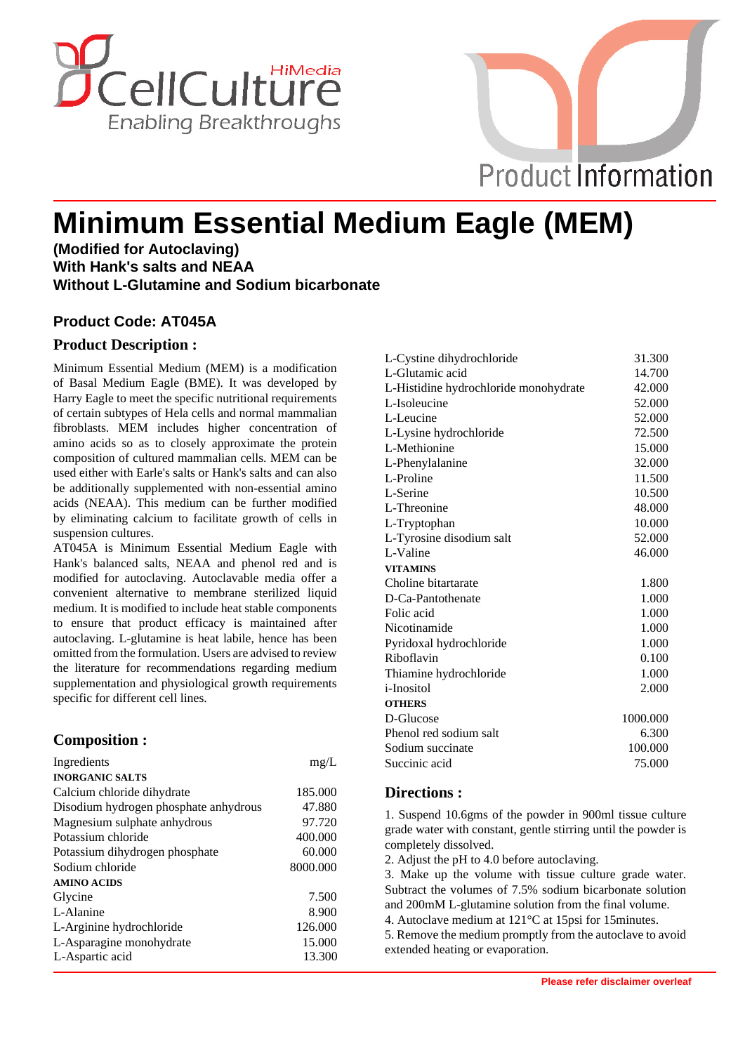



# **Minimum Essential Medium Eagle (MEM)**

**(Modified for Autoclaving) With Hank's salts and NEAA Without L-Glutamine and Sodium bicarbonate**

## **Product Code: AT045A**

#### **Product Description :**

Minimum Essential Medium (MEM) is a modification of Basal Medium Eagle (BME). It was developed by Harry Eagle to meet the specific nutritional requirements of certain subtypes of Hela cells and normal mammalian fibroblasts. MEM includes higher concentration of amino acids so as to closely approximate the protein composition of cultured mammalian cells. MEM can be used either with Earle's salts or Hank's salts and can also be additionally supplemented with non-essential amino acids (NEAA). This medium can be further modified by eliminating calcium to facilitate growth of cells in suspension cultures.

AT045A is Minimum Essential Medium Eagle with Hank's balanced salts, NEAA and phenol red and is modified for autoclaving. Autoclavable media offer a convenient alternative to membrane sterilized liquid medium. It is modified to include heat stable components to ensure that product efficacy is maintained after autoclaving. L-glutamine is heat labile, hence has been omitted from the formulation. Users are advised to review the literature for recommendations regarding medium supplementation and physiological growth requirements specific for different cell lines.

## **Composition :**

| Ingredients                           | mg/L     |
|---------------------------------------|----------|
| <b>INORGANIC SALTS</b>                |          |
| Calcium chloride dihydrate            | 185.000  |
| Disodium hydrogen phosphate anhydrous | 47.880   |
| Magnesium sulphate anhydrous          | 97.720   |
| Potassium chloride                    | 400.000  |
| Potassium dihydrogen phosphate        | 60.000   |
| Sodium chloride                       | 8000.000 |
| <b>AMINO ACIDS</b>                    |          |
| Glycine                               | 7.500    |
| L-Alanine                             | 8.900    |
| L-Arginine hydrochloride              | 126.000  |
| L-Asparagine monohydrate              | 15.000   |
| L-Aspartic acid                       | 13.300   |

| L-Cystine dihydrochloride             | 31.300   |
|---------------------------------------|----------|
| L-Glutamic acid                       | 14.700   |
| L-Histidine hydrochloride monohydrate | 42.000   |
| L-Isoleucine                          | 52.000   |
| L-Leucine                             | 52.000   |
| L-Lysine hydrochloride                | 72.500   |
| L-Methionine                          | 15.000   |
| L-Phenylalanine                       | 32.000   |
| L-Proline                             | 11.500   |
| L-Serine                              | 10.500   |
| L-Threonine                           | 48.000   |
| L-Tryptophan                          | 10.000   |
| L-Tyrosine disodium salt              | 52.000   |
| L-Valine                              | 46.000   |
| <b>VITAMINS</b>                       |          |
| Choline bitartarate                   | 1.800    |
| D-Ca-Pantothenate                     | 1.000    |
| Folic acid                            | 1.000    |
| Nicotinamide                          | 1.000    |
| Pyridoxal hydrochloride               | 1.000    |
| Riboflavin                            | 0.100    |
| Thiamine hydrochloride                | 1.000    |
| <i>i</i> -Inositol                    | 2.000    |
| <b>OTHERS</b>                         |          |
| D-Glucose                             | 1000.000 |
| Phenol red sodium salt                | 6.300    |
| Sodium succinate                      | 100.000  |
| Succinic acid                         | 75.000   |
|                                       |          |

#### **Directions :**

1. Suspend 10.6gms of the powder in 900ml tissue culture grade water with constant, gentle stirring until the powder is completely dissolved.

2. Adjust the pH to 4.0 before autoclaving.

3. Make up the volume with tissue culture grade water. Subtract the volumes of 7.5% sodium bicarbonate solution and 200mM L-glutamine solution from the final volume.

4. Autoclave medium at 121°C at 15psi for 15minutes.

5. Remove the medium promptly from the autoclave to avoid extended heating or evaporation.